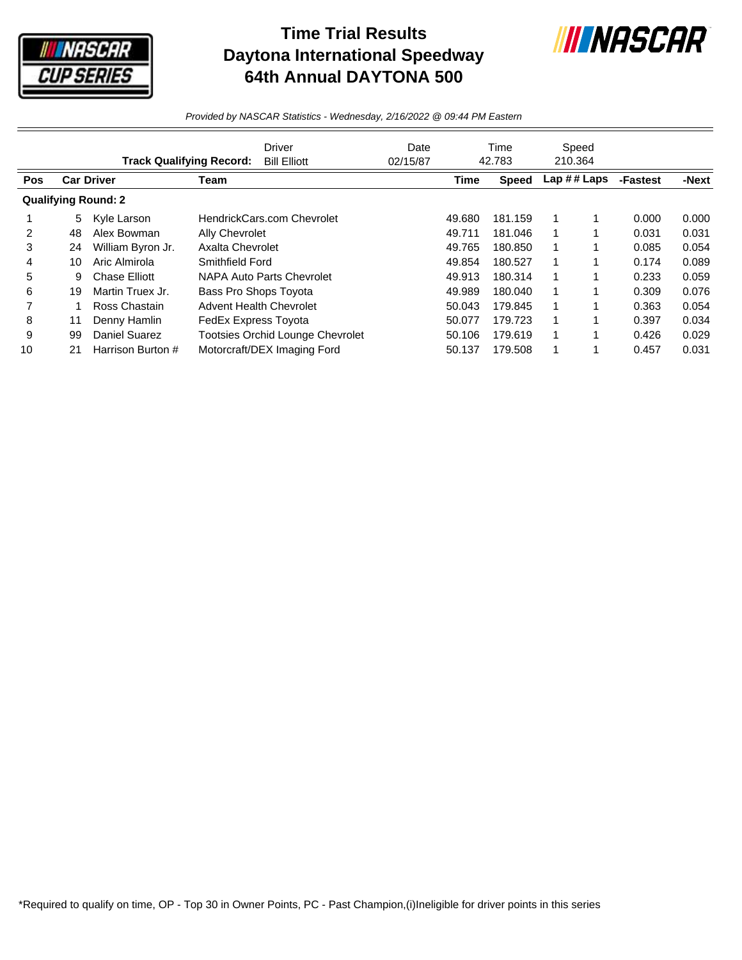

## **Time Trial Results Daytona International Speedway 64th Annual DAYTONA 500**



*Provided by NASCAR Statistics - Wednesday, 2/16/2022 @ 09:44 PM Eastern*

|            | <b>Driver</b><br><b>Track Qualifying Record:</b> |                            |                                | <b>Bill Elliott</b>                     | Date<br>02/15/87 |             | Time<br>42.783 |   | Speed<br>210.364 |          |       |
|------------|--------------------------------------------------|----------------------------|--------------------------------|-----------------------------------------|------------------|-------------|----------------|---|------------------|----------|-------|
| <b>Pos</b> |                                                  | <b>Car Driver</b>          | Team                           |                                         |                  | <b>Time</b> | <b>Speed</b>   |   | Lap ## Laps      | -Fastest | -Next |
|            |                                                  | <b>Qualifying Round: 2</b> |                                |                                         |                  |             |                |   |                  |          |       |
|            | 5                                                | Kyle Larson                |                                | HendrickCars.com Chevrolet              |                  | 49.680      | 181.159        |   |                  | 0.000    | 0.000 |
| 2          | 48                                               | Alex Bowman                | Ally Chevrolet                 |                                         |                  | 49.711      | 181.046        |   |                  | 0.031    | 0.031 |
| 3          | 24                                               | William Byron Jr.          | Axalta Chevrolet               |                                         |                  | 49.765      | 180.850        |   |                  | 0.085    | 0.054 |
| 4          | 10                                               | Aric Almirola              | Smithfield Ford                |                                         |                  | 49.854      | 180.527        |   |                  | 0.174    | 0.089 |
| 5          | 9                                                | <b>Chase Elliott</b>       |                                | NAPA Auto Parts Chevrolet               |                  | 49.913      | 180.314        |   |                  | 0.233    | 0.059 |
| 6          | 19                                               | Martin Truex Jr.           | Bass Pro Shops Toyota          |                                         |                  | 49.989      | 180.040        | 1 |                  | 0.309    | 0.076 |
|            |                                                  | Ross Chastain              | <b>Advent Health Chevrolet</b> |                                         |                  | 50.043      | 179.845        |   |                  | 0.363    | 0.054 |
| 8          | 11                                               | Denny Hamlin               | FedEx Express Toyota           |                                         |                  | 50.077      | 179.723        | 1 |                  | 0.397    | 0.034 |
| 9          | 99                                               | <b>Daniel Suarez</b>       |                                | <b>Tootsies Orchid Lounge Chevrolet</b> |                  | 50.106      | 179.619        |   |                  | 0.426    | 0.029 |
| 10         | 21                                               | Harrison Burton #          |                                | Motorcraft/DEX Imaging Ford             |                  | 50.137      | 179.508        |   |                  | 0.457    | 0.031 |